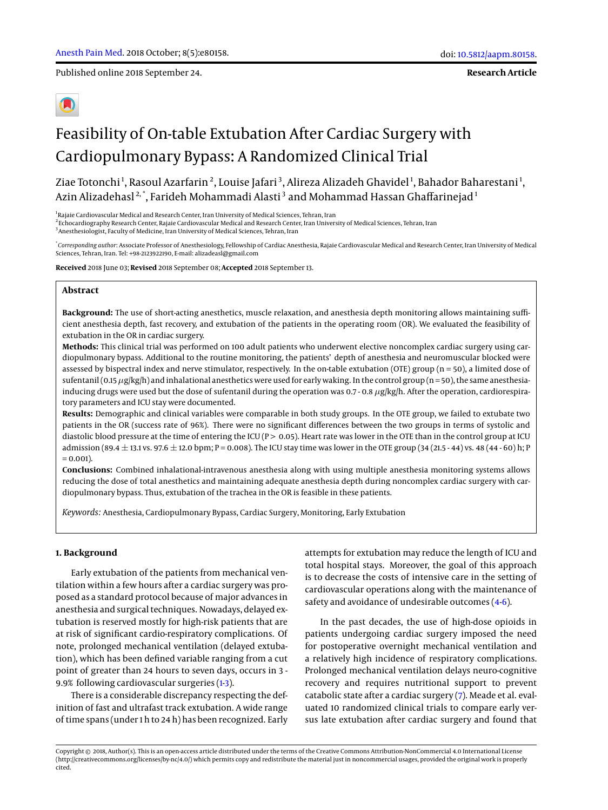Published online 2018 September 24.

**Research Article**

# Feasibility of On-table Extubation After Cardiac Surgery with Cardiopulmonary Bypass: A Randomized Clinical Trial

Ziae Totonchi <sup>1</sup>, Rasoul Azarfarin <sup>2</sup>, Louise Jafari <sup>3</sup>, Alireza Alizadeh Ghavidel <sup>1</sup>, Bahador Baharestani <sup>1</sup>, Azin Alizadehasl $^{\mathbf{2},\mathbf{*}}$ , Farideh Mohammadi Alasti $^{\mathbf{3}}$  and Mohammad Hassan Ghaffarinejad $^{\mathbf{1}}$ 

<sup>1</sup> Rajaie Cardiovascular Medical and Research Center, Iran University of Medical Sciences, Tehran, Iran 2 Echocardiography Research Center, Rajaie Cardiovascular Medical and Research Center, Iran University of Medical Sciences, Tehran, Iran <sup>3</sup> Anesthesiologist, Faculty of Medicine, Iran University of Medical Sciences, Tehran, Iran

\* *Corresponding author*: Associate Professor of Anesthesiology, Fellowship of Cardiac Anesthesia, Rajaie Cardiovascular Medical and Research Center, Iran University of Medical Sciences, Tehran, Iran. Tel: +98-2123922190, E-mail: alizadeasl@gmail.com

**Received** 2018 June 03; **Revised** 2018 September 08; **Accepted** 2018 September 13.

## **Abstract**

**Background:** The use of short-acting anesthetics, muscle relaxation, and anesthesia depth monitoring allows maintaining sufficient anesthesia depth, fast recovery, and extubation of the patients in the operating room (OR). We evaluated the feasibility of extubation in the OR in cardiac surgery.

**Methods:** This clinical trial was performed on 100 adult patients who underwent elective noncomplex cardiac surgery using cardiopulmonary bypass. Additional to the routine monitoring, the patients' depth of anesthesia and neuromuscular blocked were assessed by bispectral index and nerve stimulator, respectively. In the on-table extubation (OTE) group (n = 50), a limited dose of sufentanil (0.15  $\mu$ g/kg/h) and inhalational anesthetics were used for early waking. In the control group (n = 50), the same anesthesiainducing drugs were used but the dose of sufentanil during the operation was 0.7 - 0.8  $\mu$ g/kg/h. After the operation, cardiorespiratory parameters and ICU stay were documented.

**Results:** Demographic and clinical variables were comparable in both study groups. In the OTE group, we failed to extubate two patients in the OR (success rate of 96%). There were no significant differences between the two groups in terms of systolic and diastolic blood pressure at the time of entering the ICU (P > 0.05). Heart rate was lower in the OTE than in the control group at ICU admission (89.4  $\pm$  13.1 vs. 97.6  $\pm$  12.0 bpm; P = 0.008). The ICU stay time was lower in the OTE group (34 (21.5 - 44) vs. 48 (44 - 60) h; P  $= 0.001$ ).

**Conclusions:** Combined inhalational-intravenous anesthesia along with using multiple anesthesia monitoring systems allows reducing the dose of total anesthetics and maintaining adequate anesthesia depth during noncomplex cardiac surgery with cardiopulmonary bypass. Thus, extubation of the trachea in the OR is feasible in these patients.

*Keywords:* Anesthesia, Cardiopulmonary Bypass, Cardiac Surgery, Monitoring, Early Extubation

#### **1. Background**

Early extubation of the patients from mechanical ventilation within a few hours after a cardiac surgery was proposed as a standard protocol because of major advances in anesthesia and surgical techniques. Nowadays, delayed extubation is reserved mostly for high-risk patients that are at risk of significant cardio-respiratory complications. Of note, prolonged mechanical ventilation (delayed extubation), which has been defined variable ranging from a cut point of greater than 24 hours to seven days, occurs in 3 - 9.9% following cardiovascular surgeries [\(1](#page-6-0)[-3\)](#page-6-1).

There is a considerable discrepancy respecting the definition of fast and ultrafast track extubation. A wide range of time spans (under 1 h to 24 h) has been recognized. Early attempts for extubation may reduce the length of ICU and total hospital stays. Moreover, the goal of this approach is to decrease the costs of intensive care in the setting of cardiovascular operations along with the maintenance of safety and avoidance of undesirable outcomes [\(4-](#page-6-2)[6\)](#page-6-3).

In the past decades, the use of high-dose opioids in patients undergoing cardiac surgery imposed the need for postoperative overnight mechanical ventilation and a relatively high incidence of respiratory complications. Prolonged mechanical ventilation delays neuro-cognitive recovery and requires nutritional support to prevent catabolic state after a cardiac surgery [\(7\)](#page-6-4). Meade et al. evaluated 10 randomized clinical trials to compare early versus late extubation after cardiac surgery and found that

Copyright © 2018, Author(s). This is an open-access article distributed under the terms of the Creative Commons Attribution-NonCommercial 4.0 International License (http://creativecommons.org/licenses/by-nc/4.0/) which permits copy and redistribute the material just in noncommercial usages, provided the original work is properly cited.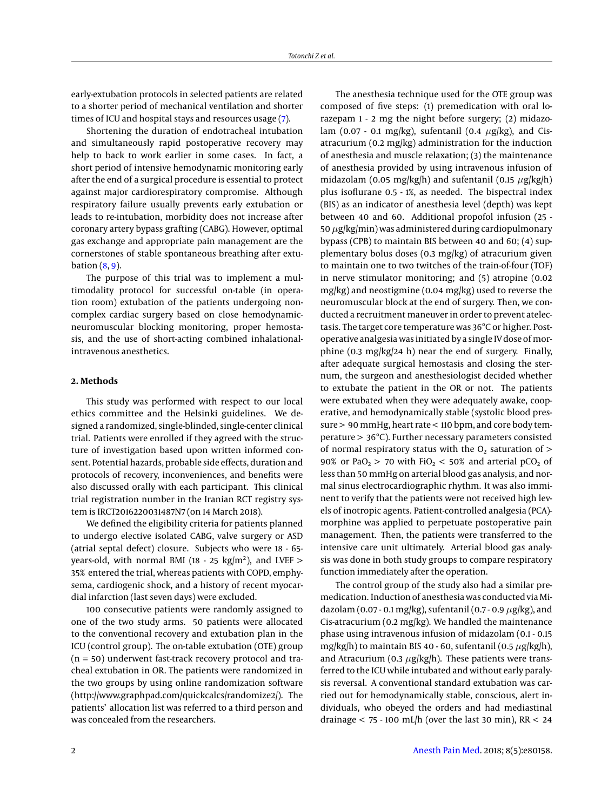early-extubation protocols in selected patients are related to a shorter period of mechanical ventilation and shorter times of ICU and hospital stays and resources usage [\(7\)](#page-6-4).

Shortening the duration of endotracheal intubation and simultaneously rapid postoperative recovery may help to back to work earlier in some cases. In fact, a short period of intensive hemodynamic monitoring early after the end of a surgical procedure is essential to protect against major cardiorespiratory compromise. Although respiratory failure usually prevents early extubation or leads to re-intubation, morbidity does not increase after coronary artery bypass grafting (CABG). However, optimal gas exchange and appropriate pain management are the cornerstones of stable spontaneous breathing after extubation  $(8, 9)$  $(8, 9)$  $(8, 9)$ .

The purpose of this trial was to implement a multimodality protocol for successful on-table (in operation room) extubation of the patients undergoing noncomplex cardiac surgery based on close hemodynamicneuromuscular blocking monitoring, proper hemostasis, and the use of short-acting combined inhalationalintravenous anesthetics.

## **2. Methods**

This study was performed with respect to our local ethics committee and the Helsinki guidelines. We designed a randomized, single-blinded, single-center clinical trial. Patients were enrolled if they agreed with the structure of investigation based upon written informed consent. Potential hazards, probable side effects, duration and protocols of recovery, inconveniences, and benefits were also discussed orally with each participant. This clinical trial registration number in the Iranian RCT registry system is IRCT2016220031487N7 (on 14 March 2018).

We defined the eligibility criteria for patients planned to undergo elective isolated CABG, valve surgery or ASD (atrial septal defect) closure. Subjects who were 18 - 65 years-old, with normal BMI (18 - 25  $\text{kg/m}^2$ ), and LVEF  $>$ 35% entered the trial, whereas patients with COPD, emphysema, cardiogenic shock, and a history of recent myocardial infarction (last seven days) were excluded.

100 consecutive patients were randomly assigned to one of the two study arms. 50 patients were allocated to the conventional recovery and extubation plan in the ICU (control group). The on-table extubation (OTE) group (n = 50) underwent fast-track recovery protocol and tracheal extubation in OR. The patients were randomized in the two groups by using online randomization software (http://www.graphpad.com/quickcalcs/randomize2/). The patients' allocation list was referred to a third person and was concealed from the researchers.

The anesthesia technique used for the OTE group was composed of five steps: (1) premedication with oral lorazepam 1 - 2 mg the night before surgery; (2) midazolam (0.07 - 0.1 mg/kg), sufentanil (0.4  $\mu$ g/kg), and Cisatracurium (0.2 mg/kg) administration for the induction of anesthesia and muscle relaxation; (3) the maintenance of anesthesia provided by using intravenous infusion of midazolam (0.05 mg/kg/h) and sufentanil (0.15  $\mu$ g/kg/h) plus isoflurane 0.5 - 1%, as needed. The bispectral index (BIS) as an indicator of anesthesia level (depth) was kept between 40 and 60. Additional propofol infusion (25 - 50  $\mu$ g/kg/min) was administered during cardiopulmonary bypass (CPB) to maintain BIS between 40 and 60; (4) supplementary bolus doses (0.3 mg/kg) of atracurium given to maintain one to two twitches of the train-of-four (TOF) in nerve stimulator monitoring; and (5) atropine (0.02 mg/kg) and neostigmine (0.04 mg/kg) used to reverse the neuromuscular block at the end of surgery. Then, we conducted a recruitment maneuver in order to prevent atelectasis. The target core temperature was 36°C or higher. Postoperative analgesia was initiated by a single IV dose of morphine (0.3 mg/kg/24 h) near the end of surgery. Finally, after adequate surgical hemostasis and closing the sternum, the surgeon and anesthesiologist decided whether to extubate the patient in the OR or not. The patients were extubated when they were adequately awake, cooperative, and hemodynamically stable (systolic blood pressure > 90 mmHg, heart rate < 110 bpm, and core body temperature > 36°C). Further necessary parameters consisted of normal respiratory status with the  $O_2$  saturation of  $>$ 90% or PaO<sub>2</sub> > 70 with FiO<sub>2</sub> < 50% and arterial pCO<sub>2</sub> of less than 50 mmHg on arterial blood gas analysis, and normal sinus electrocardiographic rhythm. It was also imminent to verify that the patients were not received high levels of inotropic agents. Patient-controlled analgesia (PCA) morphine was applied to perpetuate postoperative pain management. Then, the patients were transferred to the intensive care unit ultimately. Arterial blood gas analysis was done in both study groups to compare respiratory function immediately after the operation.

The control group of the study also had a similar premedication. Induction of anesthesia was conducted via Midazolam (0.07 - 0.1 mg/kg), sufentanil (0.7 - 0.9  $\mu$ g/kg), and Cis-atracurium (0.2 mg/kg). We handled the maintenance phase using intravenous infusion of midazolam (0.1 - 0.15 mg/kg/h) to maintain BIS 40 - 60, sufentanil (0.5  $\mu$ g/kg/h), and Atracurium (0.3  $\mu$ g/kg/h). These patients were transferred to the ICU while intubated and without early paralysis reversal. A conventional standard extubation was carried out for hemodynamically stable, conscious, alert individuals, who obeyed the orders and had mediastinal drainage  $<$  75 - 100 mL/h (over the last 30 min), RR  $<$  24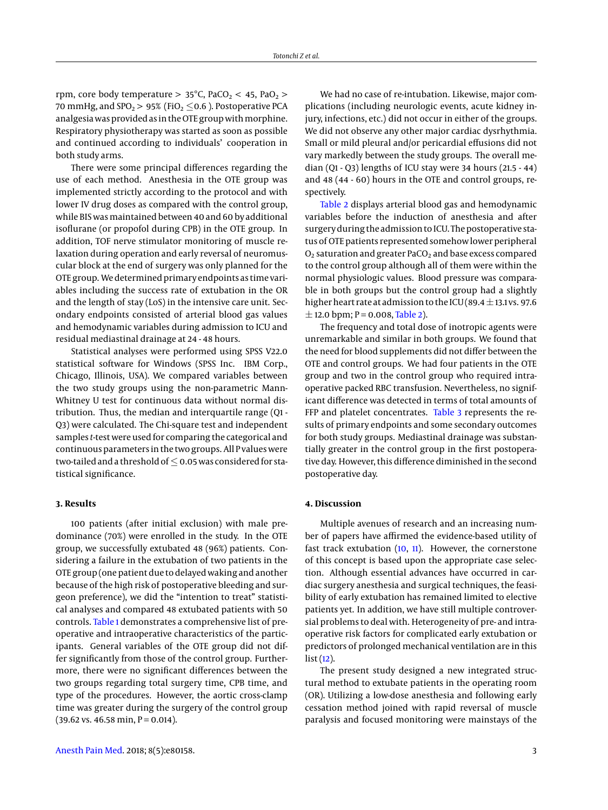rpm, core body temperature  $> 35^{\circ}$ C, PaCO<sub>2</sub>  $< 45$ , PaO<sub>2</sub>  $>$ 70 mmHg, and SPO<sub>2</sub> > 95% (FiO<sub>2</sub>  $\leq$  0.6 ). Postoperative PCA analgesia was provided as in the OTE group with morphine. Respiratory physiotherapy was started as soon as possible and continued according to individuals' cooperation in both study arms.

There were some principal differences regarding the use of each method. Anesthesia in the OTE group was implemented strictly according to the protocol and with lower IV drug doses as compared with the control group, while BIS was maintained between 40 and 60 by additional isoflurane (or propofol during CPB) in the OTE group. In addition, TOF nerve stimulator monitoring of muscle relaxation during operation and early reversal of neuromuscular block at the end of surgery was only planned for the OTE group. We determined primary endpoints as time variables including the success rate of extubation in the OR and the length of stay (LoS) in the intensive care unit. Secondary endpoints consisted of arterial blood gas values and hemodynamic variables during admission to ICU and residual mediastinal drainage at 24 - 48 hours.

Statistical analyses were performed using SPSS V22.0 statistical software for Windows (SPSS Inc. IBM Corp., Chicago, Illinois, USA). We compared variables between the two study groups using the non-parametric Mann-Whitney U test for continuous data without normal distribution. Thus, the median and interquartile range (Q1 - Q3) were calculated. The Chi-square test and independent samples *t*-test were used for comparing the categorical and continuous parameters in the two groups. All P values were two-tailed and a threshold of  $\leq$  0.05 was considered for statistical significance.

### **3. Results**

100 patients (after initial exclusion) with male predominance (70%) were enrolled in the study. In the OTE group, we successfully extubated 48 (96%) patients. Considering a failure in the extubation of two patients in the OTE group (one patient due to delayed waking and another because of the high risk of postoperative bleeding and surgeon preference), we did the "intention to treat" statistical analyses and compared 48 extubated patients with 50 controls. [Table 1](#page-3-0) demonstrates a comprehensive list of preoperative and intraoperative characteristics of the participants. General variables of the OTE group did not differ significantly from those of the control group. Furthermore, there were no significant differences between the two groups regarding total surgery time, CPB time, and type of the procedures. However, the aortic cross-clamp time was greater during the surgery of the control group  $(39.62 \text{ vs. } 46.58 \text{ min}, P = 0.014).$ 

We had no case of re-intubation. Likewise, major complications (including neurologic events, acute kidney injury, infections, etc.) did not occur in either of the groups. We did not observe any other major cardiac dysrhythmia. Small or mild pleural and/or pericardial effusions did not vary markedly between the study groups. The overall median (Q1 - Q3) lengths of ICU stay were 34 hours (21.5 - 44) and 48 (44 - 60) hours in the OTE and control groups, respectively.

[Table 2](#page-4-0) displays arterial blood gas and hemodynamic variables before the induction of anesthesia and after surgery during the admission to ICU. The postoperative status of OTE patients represented somehow lower peripheral  $O<sub>2</sub>$  saturation and greater PaCO<sub>2</sub> and base excess compared to the control group although all of them were within the normal physiologic values. Blood pressure was comparable in both groups but the control group had a slightly higher heart rate at admission to the ICU (89.4  $\pm$ 13.1 vs. 97.6  $\pm$  12.0 bpm; P = 0.008, [Table 2\)](#page-4-0).

The frequency and total dose of inotropic agents were unremarkable and similar in both groups. We found that the need for blood supplements did not differ between the OTE and control groups. We had four patients in the OTE group and two in the control group who required intraoperative packed RBC transfusion. Nevertheless, no significant difference was detected in terms of total amounts of FFP and platelet concentrates. [Table 3](#page-4-1) represents the results of primary endpoints and some secondary outcomes for both study groups. Mediastinal drainage was substantially greater in the control group in the first postoperative day. However, this difference diminished in the second postoperative day.

### **4. Discussion**

Multiple avenues of research and an increasing number of papers have affirmed the evidence-based utility of fast track extubation [\(10,](#page-6-7) [11\)](#page-6-8). However, the cornerstone of this concept is based upon the appropriate case selection. Although essential advances have occurred in cardiac surgery anesthesia and surgical techniques, the feasibility of early extubation has remained limited to elective patients yet. In addition, we have still multiple controversial problems to deal with. Heterogeneity of pre- and intraoperative risk factors for complicated early extubation or predictors of prolonged mechanical ventilation are in this  $list(12)$  $list(12)$ .

The present study designed a new integrated structural method to extubate patients in the operating room (OR). Utilizing a low-dose anesthesia and following early cessation method joined with rapid reversal of muscle paralysis and focused monitoring were mainstays of the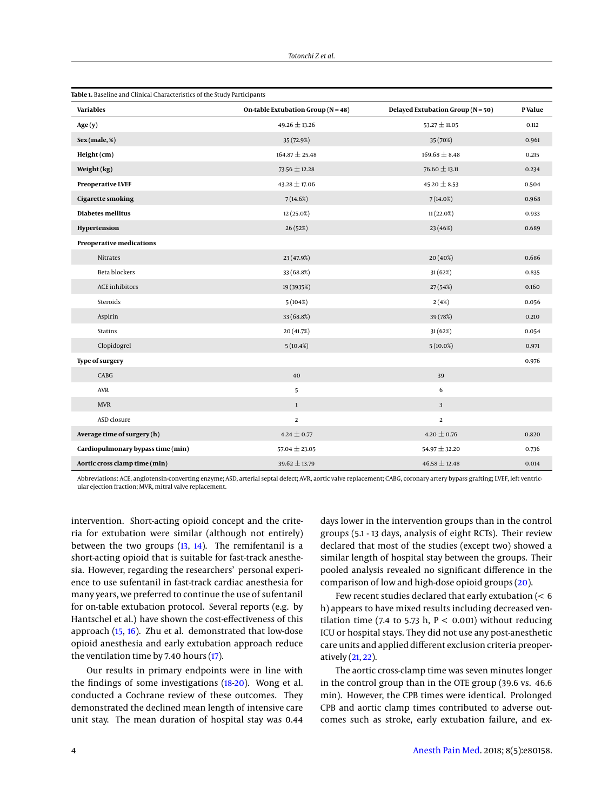<span id="page-3-0"></span>

| <b>Variables</b>                  | On-table Extubation Group ( $N = 48$ ) | Delayed Extubation Group ( $N = 50$ ) | <b>P</b> Value |
|-----------------------------------|----------------------------------------|---------------------------------------|----------------|
| Age(y)                            | $49.26 \pm 13.26$                      | 53.27 $\pm$ 11.05                     | 0.112          |
| Sex (male, % )                    | 35 (72.9%)                             | 35 (70%)                              | 0.961          |
| Height (cm)                       | $164.87 \pm 25.48$                     | $169.68 \pm 8.48$                     | 0.215          |
| Weight (kg)                       | $73.56 \pm 12.28$                      | $76.60 \pm 13.11$                     | 0.234          |
| <b>Preoperative LVEF</b>          | $43.28 \pm 17.06$                      | $45.20 \pm 8.53$                      | 0.504          |
| <b>Cigarette smoking</b>          | 7(14.6%)                               | 7(14.0%)                              | 0.968          |
| <b>Diabetes mellitus</b>          | 12 (25.0%)                             | 11(22.0%)                             | 0.933          |
| Hypertension                      | 26 (52%)                               | 23 (46%)                              | 0.689          |
| Preoperative medications          |                                        |                                       |                |
| Nitrates                          | 23 (47.9%)                             | 20 (40%)                              | 0.686          |
| <b>Beta blockers</b>              | 33 (68.8%)                             | 31(62%)                               | 0.835          |
| ACE inhibitors                    | 19 (3935%)                             | 27(54%)                               | 0.160          |
| Steroids                          | 5(104%)                                | 2(4%)                                 | 0.056          |
| Aspirin                           | 33 (68.8%)                             | 39 (78%)                              | 0.210          |
| <b>Statins</b>                    | 20 (41.7%)                             | 31(62%)                               | 0.054          |
| Clopidogrel                       | 5(10.4%)                               | $5(10.0\%)$                           | 0.971          |
| <b>Type of surgery</b>            |                                        |                                       | 0.976          |
| <b>CABG</b>                       | 40                                     | 39                                    |                |
| AVR                               | 5                                      | 6                                     |                |
| <b>MVR</b>                        | $\mathbf{1}$                           | $\overline{\mathbf{3}}$               |                |
| ASD closure                       | $\overline{2}$                         | $\overline{2}$                        |                |
| Average time of surgery (h)       | $4.24 \pm 0.77$                        | $4.20 \pm 0.76$                       | 0.820          |
| Cardiopulmonary bypass time (min) | $57.04 \pm 23.05$                      | $54.97 \pm 32.20$                     | 0.736          |
| Aortic cross clamp time (min)     | $39.62 \pm 13.79$                      | $46.58 \pm 12.48$                     | 0.014          |

Abbreviations: ACE, angiotensin-converting enzyme; ASD, arterial septal defect; AVR, aortic valve replacement; CABG, coronary artery bypass grafting; LVEF, left ventricular ejection fraction; MVR, mitral valve replacement.

intervention. Short-acting opioid concept and the criteria for extubation were similar (although not entirely) between the two groups  $(13, 14)$  $(13, 14)$  $(13, 14)$ . The remifentanil is a short-acting opioid that is suitable for fast-track anesthesia. However, regarding the researchers' personal experience to use sufentanil in fast-track cardiac anesthesia for many years, we preferred to continue the use of sufentanil for on-table extubation protocol. Several reports (e.g. by Hantschel et al.) have shown the cost-effectiveness of this approach [\(15,](#page-6-12) [16\)](#page-6-13). Zhu et al. demonstrated that low-dose opioid anesthesia and early extubation approach reduce the ventilation time by 7.40 hours [\(17\)](#page-6-14).

Our results in primary endpoints were in line with the findings of some investigations [\(18-](#page-6-15)[20\)](#page-6-16). Wong et al. conducted a Cochrane review of these outcomes. They demonstrated the declined mean length of intensive care unit stay. The mean duration of hospital stay was 0.44

days lower in the intervention groups than in the control groups (5.1 - 13 days, analysis of eight RCTs). Their review declared that most of the studies (except two) showed a similar length of hospital stay between the groups. Their pooled analysis revealed no significant difference in the comparison of low and high-dose opioid groups [\(20\)](#page-6-16).

Few recent studies declared that early extubation (< 6 h) appears to have mixed results including decreased ventilation time (7.4 to 5.73 h,  $P < 0.001$ ) without reducing ICU or hospital stays. They did not use any post-anesthetic care units and applied different exclusion criteria preoperatively [\(21,](#page-6-17) [22\)](#page-6-18).

The aortic cross-clamp time was seven minutes longer in the control group than in the OTE group (39.6 vs. 46.6 min). However, the CPB times were identical. Prolonged CPB and aortic clamp times contributed to adverse outcomes such as stroke, early extubation failure, and ex-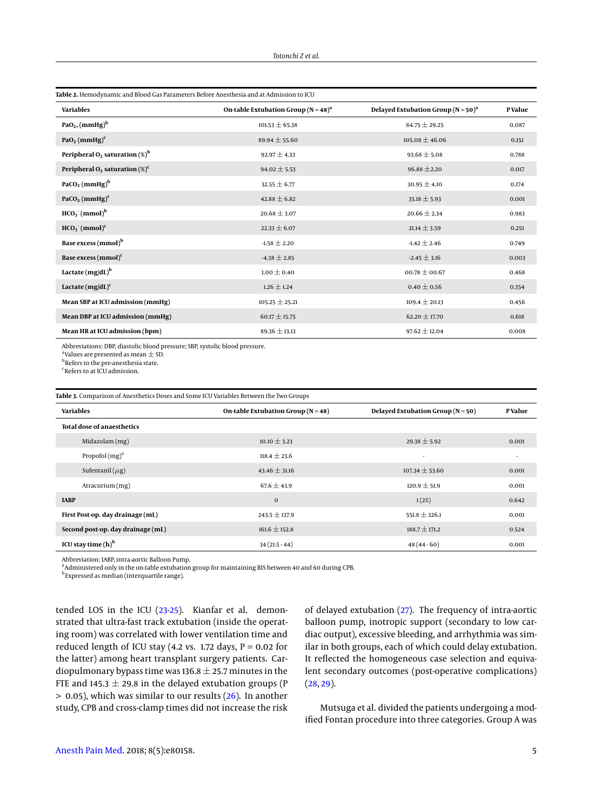<span id="page-4-0"></span>

| Table 2. Hemodynamic and Blood Gas Parameters Before Anesthesia and at Admission to ICU |                                                     |                                                    |                |  |  |
|-----------------------------------------------------------------------------------------|-----------------------------------------------------|----------------------------------------------------|----------------|--|--|
| <b>Variables</b>                                                                        | On-table Extubation Group ( $N = 48$ ) <sup>a</sup> | Delayed Extubation Group ( $N = 50$ ) <sup>a</sup> | <b>P</b> Value |  |  |
| $PaO2$ , (mmHg) <sup>b</sup>                                                            | $101.53 \pm 65.38$                                  | $84.75 \pm 29.25$                                  | 0.087          |  |  |
| PaO <sub>2</sub> (mmHg) <sup>c</sup>                                                    | 89.94 $\pm$ 55.60                                   | $105.08 \pm 46.06$                                 | 0.151          |  |  |
| Peripheral $O_2$ saturation $(\%)^b$                                                    | $92.97 \pm 4.33$                                    | $93.68 \pm 5.08$                                   | 0.788          |  |  |
| Peripheral $O_2$ saturation $(\%)^c$                                                    | $94.02 \pm 5.53$                                    | $96.88 \pm 2.20$                                   | 0.017          |  |  |
| PaCO <sub>2</sub> (mmHg) <sup>b</sup>                                                   | $32.55 \pm 6.77$                                    | $30.95 \pm 4.10$                                   | 0.174          |  |  |
| PaCO <sub>2</sub> (mmHg) <sup>c</sup>                                                   | $42.88 \pm 6.82$                                    | $33.18 \pm 5.93$                                   | 0.001          |  |  |
| $HCO3$ (mmol) <sup>b</sup>                                                              | $20.68 \pm 3.07$                                    | $20.66 \pm 2.34$                                   | 0.983          |  |  |
| $HCO3$ (mmol) <sup>c</sup>                                                              | $22.33 \pm 6.07$                                    | $21.14 \pm 3.59$                                   | 0.251          |  |  |
| Base excess (mmol) <sup>b</sup>                                                         | $-1.58 \pm 2.20$                                    | $-1.42 \pm 2.46$                                   | 0.749          |  |  |
| Base excess $(mmol)^c$                                                                  | $-4.38 \pm 2.85$                                    | $-2.45 \pm 3.16$                                   | 0.003          |  |  |
| Lactate $(mg/dL)^b$                                                                     | $1.00 \pm 0.40$                                     | $00.78 \pm 00.67$                                  | 0.468          |  |  |
| Lactate $(mg/dL)^c$                                                                     | $1.26 \pm 1.24$                                     | $0.40 \pm 0.56$                                    | 0.354          |  |  |
| Mean SBP at ICU admission (mmHg)                                                        | $105.25 \pm 25.21$                                  | $109.4 \pm 20.13$                                  | 0.456          |  |  |
| Mean DBP at ICU admission (mmHg)                                                        | $60.17 \pm 15.75$                                   | 62.20 $\pm$ 17.70                                  | 0.618          |  |  |
| Mean HR at ICU admission (bpm)                                                          | 89.36 $\pm$ 13.13                                   | $97.62 \pm 12.04$                                  | 0.008          |  |  |

Abbreviations: DBP, diastolic blood pressure; SBP, systolic blood pressure.

<sup>a</sup> Values are presented as mean  $\pm$  SD.

<sup>b</sup>Refers to the pre-anesthesia state.

c Refers to at ICU admission.

<span id="page-4-1"></span>**Table 3.** Comparison of Anesthetics Doses and Some ICU Variables Between the Two Groups

| <b>Variables</b>                  | On-table Extubation Group ( $N = 48$ ) | Delayed Extubation Group ( $N = 50$ ) | P Value |
|-----------------------------------|----------------------------------------|---------------------------------------|---------|
| <b>Total dose of anaesthetics</b> |                                        |                                       |         |
| Midazolam (mg)                    | $10.10 \pm 3.23$                       | $29.38 \pm 5.92$                      | 0.001   |
| Propofol $(mg)^a$                 | $118.4 \pm 23.6$                       | $\overline{\phantom{a}}$              | ٠       |
| Sufentanil $(\mu$ g)              | $43.46 \pm 31.16$                      | $107.34 \pm 53.60$                    | 0.001   |
| Atracurium (mg)                   | $67.6 \pm 43.9$                        | $120.9 \pm 51.9$                      | 0.001   |
| <b>IABP</b>                       | $\bf{0}$                               | 1(2%)                                 | 0.642   |
| First Post-op. day drainage (mL)  | $243.5 \pm 137.9$                      | $551.8 \pm 326.1$                     | 0.001   |
| Second post-op. day drainage (mL) | $161.6 \pm 152.8$                      | $188.7 \pm 171.2$                     | 0.524   |
| ICU stay time $(h)^b$             | $34(21.5-44)$                          | $48(44-60)$                           | 0.001   |

Abbreviation: IABP, intra-aortic Balloon Pump.<br><sup>a</sup>Administered only in the on-table extubation group for maintaining BIS between 40 and 60 during CPB.

<sup>b</sup> Expressed as median (interquartile range).

tended LOS in the ICU [\(23](#page-6-19)[-25\)](#page-6-20). Kianfar et al. demonstrated that ultra-fast track extubation (inside the operating room) was correlated with lower ventilation time and reduced length of ICU stay (4.2 vs. 1.72 days,  $P = 0.02$  for the latter) among heart transplant surgery patients. Cardiopulmonary bypass time was 136.8  $\pm$  25.7 minutes in the FTE and 145.3  $\pm$  29.8 in the delayed extubation groups (P)  $> 0.05$ ), which was similar to our results [\(26\)](#page-6-21). In another study, CPB and cross-clamp times did not increase the risk of delayed extubation [\(27\)](#page-6-22). The frequency of intra-aortic balloon pump, inotropic support (secondary to low cardiac output), excessive bleeding, and arrhythmia was similar in both groups, each of which could delay extubation. It reflected the homogeneous case selection and equivalent secondary outcomes (post-operative complications)  $(28, 29)$  $(28, 29)$  $(28, 29)$ .

Mutsuga et al. divided the patients undergoing a modified Fontan procedure into three categories. Group A was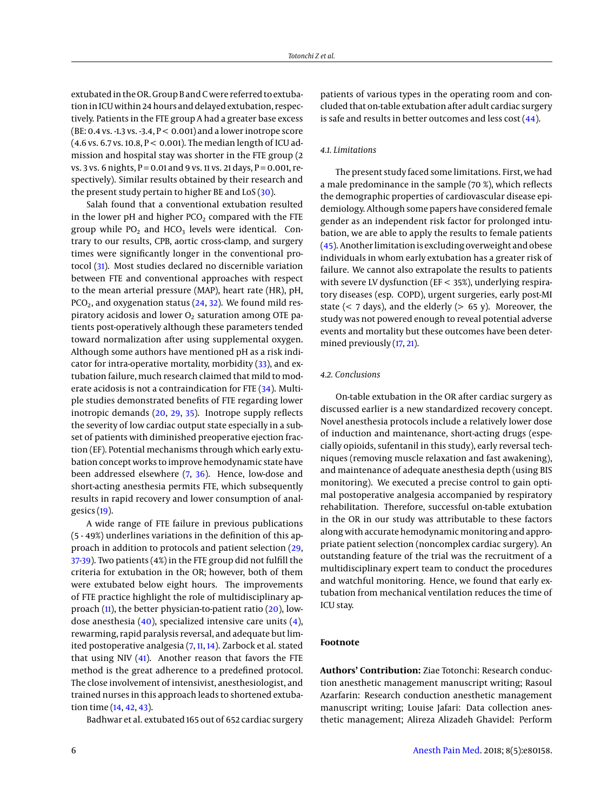extubated in the OR. Group B and C were referred to extubation in ICU within 24 hours and delayed extubation, respectively. Patients in the FTE group A had a greater base excess (BE:  $0.4$  vs. -1.3 vs. -3.4,  $P < 0.001$ ) and a lower inotrope score (4.6 vs. 6.7 vs. 10.8,  $P < 0.001$ ). The median length of ICU admission and hospital stay was shorter in the FTE group (2 vs. 3 vs. 6 nights,  $P = 0.01$  and 9 vs. 11 vs. 21 days,  $P = 0.001$ , respectively). Similar results obtained by their research and the present study pertain to higher BE and  $LoS(30)$  $LoS(30)$ .

Salah found that a conventional extubation resulted in the lower pH and higher  $PCO<sub>2</sub>$  compared with the FTE group while  $PO_2$  and  $HCO_3$  levels were identical. Contrary to our results, CPB, aortic cross-clamp, and surgery times were significantly longer in the conventional protocol [\(31\)](#page-6-26). Most studies declared no discernible variation between FTE and conventional approaches with respect to the mean arterial pressure (MAP), heart rate (HR), pH,  $PCO<sub>2</sub>$ , and oxygenation status [\(24,](#page-6-27) [32\)](#page-6-28). We found mild respiratory acidosis and lower  $O<sub>2</sub>$  saturation among OTE patients post-operatively although these parameters tended toward normalization after using supplemental oxygen. Although some authors have mentioned pH as a risk indicator for intra-operative mortality, morbidity [\(33\)](#page-7-0), and extubation failure, much research claimed that mild to moderate acidosis is not a contraindication for FTE [\(34\)](#page-7-1). Multiple studies demonstrated benefits of FTE regarding lower inotropic demands [\(20,](#page-6-16) [29,](#page-6-24) [35\)](#page-7-2). Inotrope supply reflects the severity of low cardiac output state especially in a subset of patients with diminished preoperative ejection fraction (EF). Potential mechanisms through which early extubation concept works to improve hemodynamic state have been addressed elsewhere [\(7,](#page-6-4) [36\)](#page-7-3). Hence, low-dose and short-acting anesthesia permits FTE, which subsequently results in rapid recovery and lower consumption of analgesics [\(19\)](#page-6-29).

A wide range of FTE failure in previous publications (5 - 49%) underlines variations in the definition of this approach in addition to protocols and patient selection [\(29,](#page-6-24) [37-](#page-7-4)[39\)](#page-7-5). Two patients (4%) in the FTE group did not fulfill the criteria for extubation in the OR; however, both of them were extubated below eight hours. The improvements of FTE practice highlight the role of multidisciplinary approach [\(11\)](#page-6-8), the better physician-to-patient ratio [\(20\)](#page-6-16), lowdose anesthesia [\(40\)](#page-7-6), specialized intensive care units [\(4\)](#page-6-2), rewarming, rapid paralysis reversal, and adequate but lim-ited postoperative analgesia [\(7,](#page-6-4) [11,](#page-6-8) [14\)](#page-6-11). Zarbock et al. stated that using NIV  $(41)$ . Another reason that favors the FTE method is the great adherence to a predefined protocol. The close involvement of intensivist, anesthesiologist, and trained nurses in this approach leads to shortened extubation time [\(14,](#page-6-11) [42,](#page-7-8) [43\)](#page-7-9).

Badhwar et al. extubated 165 out of 652 cardiac surgery

patients of various types in the operating room and concluded that on-table extubation after adult cardiac surgery is safe and results in better outcomes and less cost [\(44\)](#page-7-10).

### *4.1. Limitations*

The present study faced some limitations. First, we had a male predominance in the sample (70 %), which reflects the demographic properties of cardiovascular disease epidemiology. Although some papers have considered female gender as an independent risk factor for prolonged intubation, we are able to apply the results to female patients [\(45\)](#page-7-11). Another limitation is excluding overweight and obese individuals in whom early extubation has a greater risk of failure. We cannot also extrapolate the results to patients with severe LV dysfunction (EF < 35%), underlying respiratory diseases (esp. COPD), urgent surgeries, early post-MI state ( $<$  7 days), and the elderly ( $>$  65 y). Moreover, the study was not powered enough to reveal potential adverse events and mortality but these outcomes have been determined previously [\(17,](#page-6-14) [21\)](#page-6-17).

#### *4.2. Conclusions*

On-table extubation in the OR after cardiac surgery as discussed earlier is a new standardized recovery concept. Novel anesthesia protocols include a relatively lower dose of induction and maintenance, short-acting drugs (especially opioids, sufentanil in this study), early reversal techniques (removing muscle relaxation and fast awakening), and maintenance of adequate anesthesia depth (using BIS monitoring). We executed a precise control to gain optimal postoperative analgesia accompanied by respiratory rehabilitation. Therefore, successful on-table extubation in the OR in our study was attributable to these factors along with accurate hemodynamic monitoring and appropriate patient selection (noncomplex cardiac surgery). An outstanding feature of the trial was the recruitment of a multidisciplinary expert team to conduct the procedures and watchful monitoring. Hence, we found that early extubation from mechanical ventilation reduces the time of ICU stay.

#### **Footnote**

**Authors' Contribution:** Ziae Totonchi: Research conduction anesthetic management manuscript writing; Rasoul Azarfarin: Research conduction anesthetic management manuscript writing; Louise Jafari: Data collection anesthetic management; Alireza Alizadeh Ghavidel: Perform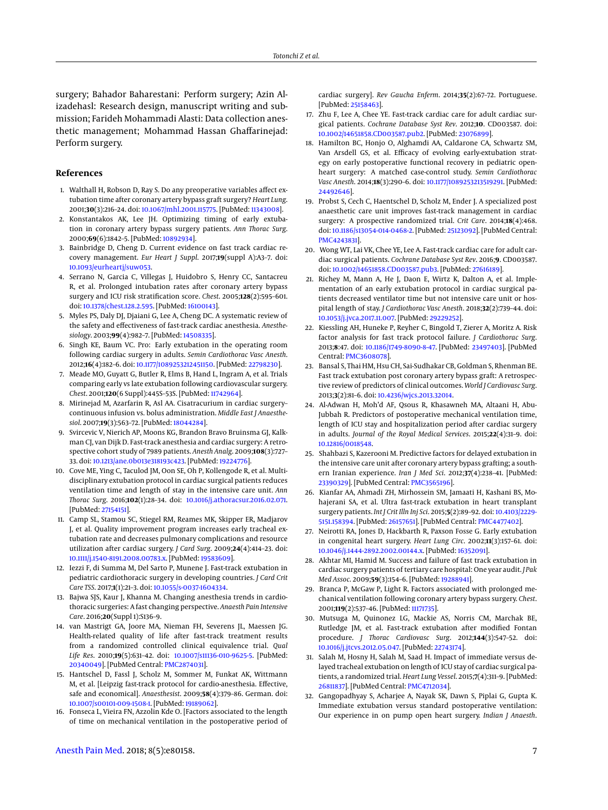surgery; Bahador Baharestani: Perform surgery; Azin Alizadehasl: Research design, manuscript writing and submission; Farideh Mohammadi Alasti: Data collection anesthetic management; Mohammad Hassan Ghaffarinejad: Perform surgery.

## **References**

- <span id="page-6-0"></span>1. Walthall H, Robson D, Ray S. Do any preoperative variables affect extubation time after coronary artery bypass graft surgery? *Heart Lung*. 2001;**30**(3):216–24. doi: [10.1067/mhl.2001.115775.](http://dx.doi.org/10.1067/mhl.2001.115775) [PubMed: [11343008\]](http://www.ncbi.nlm.nih.gov/pubmed/11343008).
- 2. Konstantakos AK, Lee JH. Optimizing timing of early extubation in coronary artery bypass surgery patients. *Ann Thorac Surg*. 2000;**69**(6):1842–5. [PubMed: [10892934\]](http://www.ncbi.nlm.nih.gov/pubmed/10892934).
- <span id="page-6-1"></span>3. Bainbridge D, Cheng D. Current evidence on fast track cardiac recovery management. *Eur Heart J Suppl*. 2017;**19**(suppl A):A3–7. doi: [10.1093/eurheartj/suw053.](http://dx.doi.org/10.1093/eurheartj/suw053)
- <span id="page-6-2"></span>4. Serrano N, Garcia C, Villegas J, Huidobro S, Henry CC, Santacreu R, et al. Prolonged intubation rates after coronary artery bypass surgery and ICU risk stratification score. *Chest*. 2005;**128**(2):595–601. doi: [10.1378/chest.128.2.595.](http://dx.doi.org/10.1378/chest.128.2.595) [PubMed: [16100143\]](http://www.ncbi.nlm.nih.gov/pubmed/16100143).
- 5. Myles PS, Daly DJ, Djaiani G, Lee A, Cheng DC. A systematic review of the safety and effectiveness of fast-track cardiac anesthesia. *Anesthesiology*. 2003;**99**(4):982–7. [PubMed: [14508335\]](http://www.ncbi.nlm.nih.gov/pubmed/14508335).
- <span id="page-6-3"></span>6. Singh KE, Baum VC. Pro: Early extubation in the operating room following cardiac surgery in adults. *Semin Cardiothorac Vasc Anesth*. 2012;**16**(4):182–6. doi: [10.1177/1089253212451150.](http://dx.doi.org/10.1177/1089253212451150) [PubMed: [22798230\]](http://www.ncbi.nlm.nih.gov/pubmed/22798230).
- <span id="page-6-4"></span>7. Meade MO, Guyatt G, Butler R, Elms B, Hand L, Ingram A, et al. Trials comparing early vs late extubation following cardiovascular surgery. *Chest*. 2001;**120**(6 Suppl):445S–53S. [PubMed: [11742964\]](http://www.ncbi.nlm.nih.gov/pubmed/11742964).
- <span id="page-6-5"></span>8. Mirinejad M, Azarfarin R, Asl AA. Cisatracurium in cardiac surgery– continuous infusion vs. bolus administration. *Middle East J Anaesthesiol*. 2007;**19**(3):563–72. [PubMed: [18044284\]](http://www.ncbi.nlm.nih.gov/pubmed/18044284).
- <span id="page-6-6"></span>9. Svircevic V, Nierich AP, Moons KG, Brandon Bravo Bruinsma GJ, Kalkman CJ, van Dijk D. Fast-track anesthesia and cardiac surgery: A retrospective cohort study of 7989 patients. *Anesth Analg*. 2009;**108**(3):727– 33. doi: [10.1213/ane.0b013e318193c423.](http://dx.doi.org/10.1213/ane.0b013e318193c423) [PubMed: [19224776\]](http://www.ncbi.nlm.nih.gov/pubmed/19224776).
- <span id="page-6-7"></span>10. Cove ME, Ying C, Taculod JM, Oon SE, Oh P, Kollengode R, et al. Multidisciplinary extubation protocol in cardiac surgical patients reduces ventilation time and length of stay in the intensive care unit. *Ann Thorac Surg*. 2016;**102**(1):28–34. doi: [10.1016/j.athoracsur.2016.02.071.](http://dx.doi.org/10.1016/j.athoracsur.2016.02.071) [PubMed: [27154151\]](http://www.ncbi.nlm.nih.gov/pubmed/27154151).
- <span id="page-6-8"></span>11. Camp SL, Stamou SC, Stiegel RM, Reames MK, Skipper ER, Madjarov J, et al. Quality improvement program increases early tracheal extubation rate and decreases pulmonary complications and resource utilization after cardiac surgery. *J Card Surg*. 2009;**24**(4):414–23. doi: [10.1111/j.1540-8191.2008.00783.x.](http://dx.doi.org/10.1111/j.1540-8191.2008.00783.x) [PubMed: [19583609\]](http://www.ncbi.nlm.nih.gov/pubmed/19583609).
- <span id="page-6-9"></span>12. Iezzi F, di Summa M, Del Sarto P, Munene J. Fast-track extubation in pediatric cardiothoracic surgery in developing countries. *J Card Crit Care TSS*. 2017;**1**(1):21–3. doi: [10.1055/s-0037-1604334.](http://dx.doi.org/10.1055/s-0037-1604334)
- <span id="page-6-10"></span>13. Bajwa SJS, Kaur J, Khanna M. Changing anesthesia trends in cardiothoracic surgeries: A fast changing perspective. *Anaesth Pain Intensive Care*. 2016;**20**(Suppl 1):S136–9.
- <span id="page-6-11"></span>14. van Mastrigt GA, Joore MA, Nieman FH, Severens JL, Maessen JG. Health-related quality of life after fast-track treatment results from a randomized controlled clinical equivalence trial. *Qual Life Res*. 2010;**19**(5):631–42. doi: [10.1007/s11136-010-9625-5.](http://dx.doi.org/10.1007/s11136-010-9625-5) [PubMed: [20340049\]](http://www.ncbi.nlm.nih.gov/pubmed/20340049). [PubMed Central: [PMC2874031\]](https://www.ncbi.nlm.nih.gov/pmc/articles/PMC2874031).
- <span id="page-6-12"></span>15. Hantschel D, Fassl J, Scholz M, Sommer M, Funkat AK, Wittmann M, et al. [Leipzig fast-track protocol for cardio-anesthesia. Effective, safe and economical]. *Anaesthesist*. 2009;**58**(4):379–86. German. doi: [10.1007/s00101-009-1508-1.](http://dx.doi.org/10.1007/s00101-009-1508-1) [PubMed: [19189062\]](http://www.ncbi.nlm.nih.gov/pubmed/19189062).
- <span id="page-6-13"></span>16. Fonseca L, Vieira FN, Azzolin Kde O. [Factors associated to the length of time on mechanical ventilation in the postoperative period of

cardiac surgery]. *Rev Gaucha Enferm*. 2014;**35**(2):67–72. Portuguese. [PubMed: [25158463\]](http://www.ncbi.nlm.nih.gov/pubmed/25158463).

- <span id="page-6-14"></span>17. Zhu F, Lee A, Chee YE. Fast-track cardiac care for adult cardiac surgical patients. *Cochrane Database Syst Rev*. 2012;**10**. CD003587. doi: [10.1002/14651858.CD003587.pub2.](http://dx.doi.org/10.1002/14651858.CD003587.pub2) [PubMed: [23076899\]](http://www.ncbi.nlm.nih.gov/pubmed/23076899).
- <span id="page-6-15"></span>18. Hamilton BC, Honjo O, Alghamdi AA, Caldarone CA, Schwartz SM, Van Arsdell GS, et al. Efficacy of evolving early-extubation strategy on early postoperative functional recovery in pediatric openheart surgery: A matched case-control study. *Semin Cardiothorac Vasc Anesth*. 2014;**18**(3):290–6. doi: [10.1177/1089253213519291.](http://dx.doi.org/10.1177/1089253213519291) [PubMed: [24492646\]](http://www.ncbi.nlm.nih.gov/pubmed/24492646).
- <span id="page-6-29"></span>19. Probst S, Cech C, Haentschel D, Scholz M, Ender J. A specialized post anaesthetic care unit improves fast-track management in cardiac surgery: A prospective randomized trial. *Crit Care*. 2014;**18**(4):468. doi: [10.1186/s13054-014-0468-2.](http://dx.doi.org/10.1186/s13054-014-0468-2) [PubMed: [25123092\]](http://www.ncbi.nlm.nih.gov/pubmed/25123092). [PubMed Central: [PMC4243831\]](https://www.ncbi.nlm.nih.gov/pmc/articles/PMC4243831).
- <span id="page-6-16"></span>20. Wong WT, Lai VK, Chee YE, Lee A. Fast-track cardiac care for adult cardiac surgical patients. *Cochrane Database Syst Rev*. 2016;**9**. CD003587. doi: [10.1002/14651858.CD003587.pub3.](http://dx.doi.org/10.1002/14651858.CD003587.pub3) [PubMed: [27616189\]](http://www.ncbi.nlm.nih.gov/pubmed/27616189).
- <span id="page-6-17"></span>21. Richey M, Mann A, He J, Daon E, Wirtz K, Dalton A, et al. Implementation of an early extubation protocol in cardiac surgical patients decreased ventilator time but not intensive care unit or hospital length of stay. *J Cardiothorac Vasc Anesth*. 2018;**32**(2):739–44. doi: [10.1053/j.jvca.2017.11.007.](http://dx.doi.org/10.1053/j.jvca.2017.11.007) [PubMed: [29229252\]](http://www.ncbi.nlm.nih.gov/pubmed/29229252).
- <span id="page-6-18"></span>22. Kiessling AH, Huneke P, Reyher C, Bingold T, Zierer A, Moritz A. Risk factor analysis for fast track protocol failure. *J Cardiothorac Surg*. 2013;**8**:47. doi: [10.1186/1749-8090-8-47.](http://dx.doi.org/10.1186/1749-8090-8-47) [PubMed: [23497403\]](http://www.ncbi.nlm.nih.gov/pubmed/23497403). [PubMed Central: [PMC3608078\]](https://www.ncbi.nlm.nih.gov/pmc/articles/PMC3608078).
- <span id="page-6-19"></span>23. Bansal S, Thai HM, Hsu CH, Sai-Sudhakar CB, Goldman S, Rhenman BE. Fast track extubation post coronary artery bypass graft: A retrospective review of predictors of clinical outcomes. *World J Cardiovasc Surg*. 2013;**3**(2):81–6. doi: [10.4236/wjcs.2013.32014.](http://dx.doi.org/10.4236/wjcs.2013.32014)
- <span id="page-6-27"></span>24. Al-Adwan H, Moh'd AF, Qsous R, Khasawneh MA, Altaani H, Abu-Jubbah R. Predictors of postoperative mechanical ventilation time, length of ICU stay and hospitalization period after cardiac surgery in adults. *Journal of the Royal Medical Services*. 2015;**22**(4):31–9. doi: [10.12816/0018548.](http://dx.doi.org/10.12816/0018548)
- <span id="page-6-20"></span>25. Shahbazi S, Kazerooni M. Predictive factors for delayed extubation in the intensive care unit after coronary artery bypass grafting; a southern Iranian experience. *Iran J Med Sci*. 2012;**37**(4):238–41. [PubMed: [23390329\]](http://www.ncbi.nlm.nih.gov/pubmed/23390329). [PubMed Central: [PMC3565196\]](https://www.ncbi.nlm.nih.gov/pmc/articles/PMC3565196).
- <span id="page-6-21"></span>26. Kianfar AA, Ahmadi ZH, Mirhossein SM, Jamaati H, Kashani BS, Mohajerani SA, et al. Ultra fast-track extubation in heart transplant surgery patients. *Int J Crit Illn Inj Sci*. 2015;**5**(2):89–92. doi: [10.4103/2229-](http://dx.doi.org/10.4103/2229-5151.158394) [5151.158394.](http://dx.doi.org/10.4103/2229-5151.158394) [PubMed: [26157651\]](http://www.ncbi.nlm.nih.gov/pubmed/26157651). [PubMed Central: [PMC4477402\]](https://www.ncbi.nlm.nih.gov/pmc/articles/PMC4477402).
- <span id="page-6-22"></span>27. Neirotti RA, Jones D, Hackbarth R, Paxson Fosse G. Early extubation in congenital heart surgery. *Heart Lung Circ*. 2002;**11**(3):157–61. doi: [10.1046/j.1444-2892.2002.00144.x.](http://dx.doi.org/10.1046/j.1444-2892.2002.00144.x) [PubMed: [16352091\]](http://www.ncbi.nlm.nih.gov/pubmed/16352091).
- <span id="page-6-23"></span>28. Akhtar MI, Hamid M. Success and failure of fast track extubation in cardiac surgery patients of tertiary care hospital: One year audit. *J Pak Med Assoc*. 2009;**59**(3):154–6. [PubMed: [19288941\]](http://www.ncbi.nlm.nih.gov/pubmed/19288941).
- <span id="page-6-24"></span>29. Branca P, McGaw P, Light R. Factors associated with prolonged mechanical ventilation following coronary artery bypass surgery. *Chest*. 2001;**119**(2):537–46. [PubMed: [11171735\]](http://www.ncbi.nlm.nih.gov/pubmed/11171735).
- <span id="page-6-25"></span>30. Mutsuga M, Quinonez LG, Mackie AS, Norris CM, Marchak BE, Rutledge JM, et al. Fast-track extubation after modified Fontan procedure. *J Thorac Cardiovasc Surg*. 2012;**144**(3):547–52. doi: [10.1016/j.jtcvs.2012.05.047.](http://dx.doi.org/10.1016/j.jtcvs.2012.05.047) [PubMed: [22743174\]](http://www.ncbi.nlm.nih.gov/pubmed/22743174).
- <span id="page-6-26"></span>31. Salah M, Hosny H, Salah M, Saad H. Impact of immediate versus delayed tracheal extubation on length of ICU stay of cardiac surgical patients, a randomized trial. *Heart Lung Vessel*. 2015;**7**(4):311–9. [PubMed: [26811837\]](http://www.ncbi.nlm.nih.gov/pubmed/26811837). [PubMed Central: [PMC4712034\]](https://www.ncbi.nlm.nih.gov/pmc/articles/PMC4712034).
- <span id="page-6-28"></span>32. Gangopadhyay S, Acharjee A, Nayak SK, Dawn S, Piplai G, Gupta K. Immediate extubation versus standard postoperative ventilation: Our experience in on pump open heart surgery. *Indian J Anaesth*.